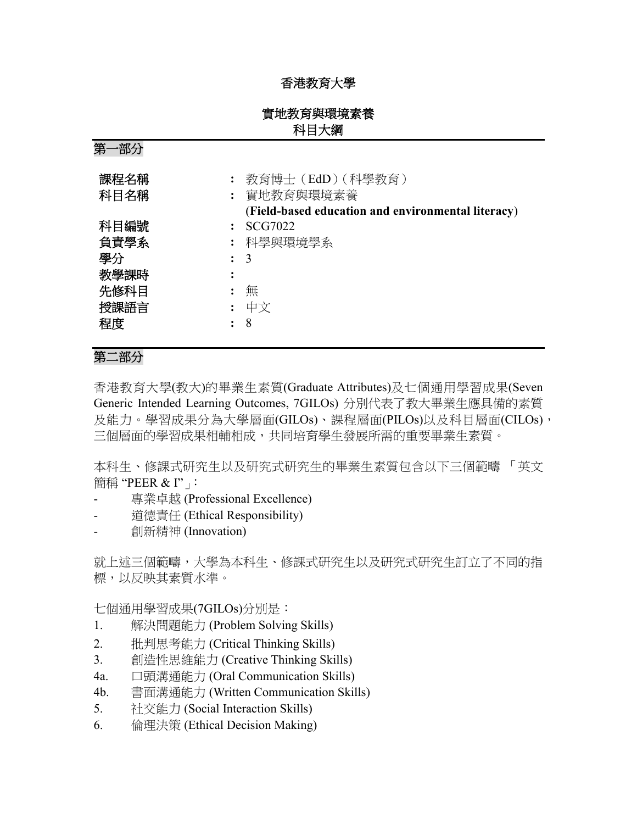## 香港教育大學

## 實地教育與環境素養 科目大綱

第一部分

| 課程名稱<br>科目名稱               |            | : 教育博士(EdD)(科學教育)<br>: 實地教育與環境素養<br>(Field-based education and environmental literacy) |
|----------------------------|------------|----------------------------------------------------------------------------------------|
| 科目編號<br>負責學系<br>學分<br>教學課時 | $\colon$ 3 | SCG7022<br>: 科學與環境學系                                                                   |
| 先修科目<br>授課語言<br>程度         | 8          | 無<br>中文                                                                                |

# 第二部分

香港教育大學(教大)的畢業生素質(Graduate Attributes)及七個通用學習成果(Seven Generic Intended Learning Outcomes, 7GILOs) 分別代表了教大畢業生應具備的素質 及能力。學習成果分為大學層面(GILOs)、課程層面(PILOs)以及科目層面(CILOs), 三個層面的學習成果相輔相成,共同培育學生發展所需的重要畢業生素質。

本科生、修課式研究生以及研究式研究生的畢業生素質包含以下三個範疇 「英文 簡稱 "PEER & I"」

- 專業卓越 (Professional Excellence)
- 道德責任 (Ethical Responsibility)
- 創新精神 (Innovation)

就上述三個範疇,大學為本科生、修課式研究生以及研究式研究生訂立了不同的指 標,以反映其素質水準。

七個通用學習成果(7GILOs)分別是:

- 1. 解決問題能力 (Problem Solving Skills)
- 2. 批判思考能力 (Critical Thinking Skills)
- 3. 創造性思維能力 (Creative Thinking Skills)
- 4a. 口頭溝通能力 (Oral Communication Skills)
- 4b. 書面溝通能力 (Written Communication Skills)
- 5. 社交能力 (Social Interaction Skills)
- 6. 倫理決策 (Ethical Decision Making)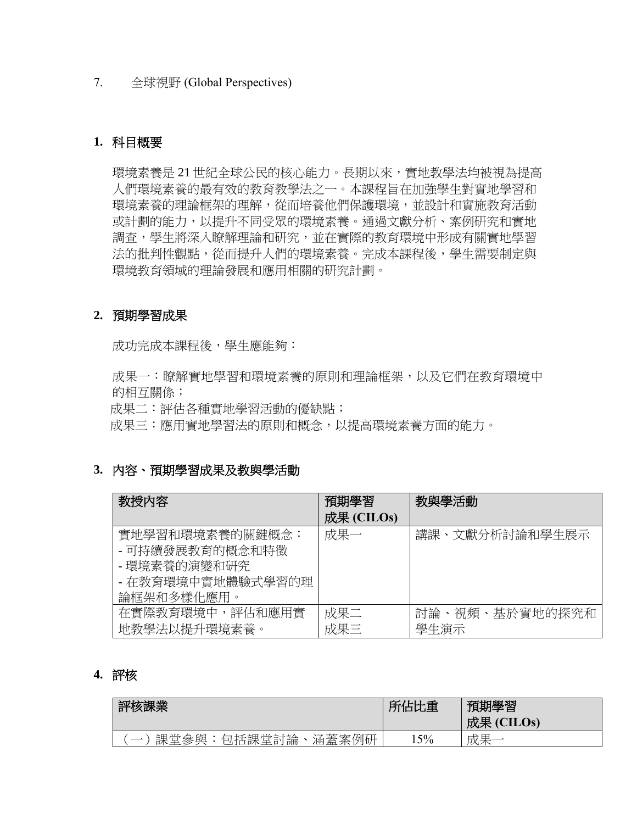#### 7. 全球視野 (Global Perspectives)

### **1.** 科目概要

環境素養是 21 世紀全球公民的核心能力。長期以來,實地教學法均被視為提高 人們環境素養的最有效的教育教學法之一。本課程旨在加強學生對實地學習和 環境素養的理論框架的理解,從而培養他們保護環境,並設計和實施教育活動 或計劃的能力,以提升不同受眾的環境素養。通過文獻分析、案例研究和實地 調查,學生將深入瞭解理論和研究,並在實際的教育環境中形成有關實地學習 法的批判性觀點,從而提升人們的環境素養。完成本課程後,學生需要制定與 環境教育領域的理論發展和應用相關的研究計劃。

#### **2.** 預期學習成果

成功完成本課程後,學生應能夠:

成果一:瞭解實地學習和環境素養的原則和理論框架,以及它們在教育環境中 的相互關係;

成果二:評估各種實地學習活動的優缺點;

成果三:應用實地學習法的原則和概念,以提高環境素養方面的能力。

## **3.** 內容、預期學習成果及教與學活動

| 教授内容                                                                                  | 預期學習<br>成果 (CILOs) | 教與學活動                  |
|---------------------------------------------------------------------------------------|--------------------|------------------------|
| 實地學習和環境素養的關鍵概念:<br>- 可持續發展教育的概念和特徵<br>- 環境素養的演變和研究<br>- 在教育環境中實地體驗式學習的理<br>論框架和多樣化應用。 | 成果一                | 講課、文獻分析討論和學生展示         |
| 在實際教育環境中,評估和應用實<br>地教學法以提升環境素養。                                                       | 成果二<br>成果三         | 討論、視頻、基於實地的探究和<br>學生演示 |

#### **4.** 評核

| 核課業                                                                                               | FLL<br>FIF A<br>:重 | 期學習<br>ᆖ<br>成果<br>(CHLOS) |
|---------------------------------------------------------------------------------------------------|--------------------|---------------------------|
| 涵蓋<br>例研<br>主甲<br>案<br>開<br>长七美田<br>"論"<br>粂<br>萓<br>∃ਵ<br>石川<br>军<br>廿十<br>∸<br>口不<br><b>EAN</b> | 15%                | ∸<br>圧<br>╼<br>⊷          |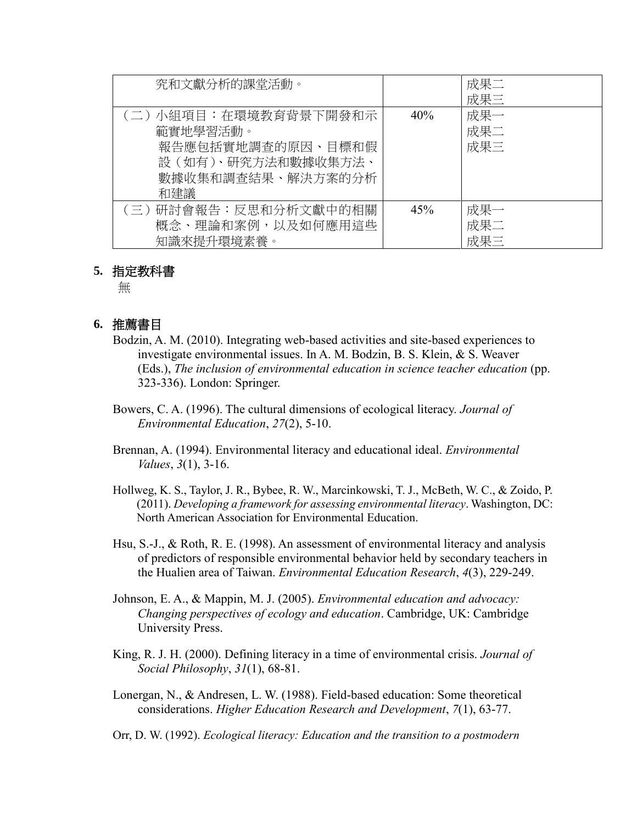| 究和文獻分析的課堂活動。                                                                                             |     | 成果二<br>成果三        |
|----------------------------------------------------------------------------------------------------------|-----|-------------------|
| (二) 小組項目:在環境教育背景下開發和示<br>範實地學習活動。<br>報告應包括實地調查的原因、目標和假<br>設(如有)、研究方法和數據收集方法、<br>數據收集和調查結果、解決方案的分析<br>和建議 | 40% | 成果一<br>成果二<br>成果三 |
| (三)研討會報告:反思和分析文獻中的相關<br>概念、理論和案例,以及如何應用這些<br>知識來提升環境素養。                                                  | 45% | 成果一<br>成果二<br>成果三 |

#### **5.** 指定教科書

無

### **6.** 推薦書目

- Bodzin, A. M. (2010). Integrating web-based activities and site-based experiences to investigate environmental issues. In A. M. Bodzin, B. S. Klein, & S. Weaver (Eds.), *The inclusion of environmental education in science teacher education* (pp. 323-336). London: Springer.
- Bowers, C. A. (1996). The cultural dimensions of ecological literacy. *Journal of Environmental Education*, *27*(2), 5-10.
- Brennan, A. (1994). Environmental literacy and educational ideal. *Environmental Values*, *3*(1), 3-16.
- Hollweg, K. S., Taylor, J. R., Bybee, R. W., Marcinkowski, T. J., McBeth, W. C., & Zoido, P. (2011). *Developing a framework for assessing environmental literacy*. Washington, DC: North American Association for Environmental Education.
- Hsu, S.-J., & Roth, R. E. (1998). An assessment of environmental literacy and analysis of predictors of responsible environmental behavior held by secondary teachers in the Hualien area of Taiwan. *Environmental Education Research*, *4*(3), 229-249.
- Johnson, E. A., & Mappin, M. J. (2005). *Environmental education and advocacy: Changing perspectives of ecology and education*. Cambridge, UK: Cambridge University Press.
- King, R. J. H. (2000). Defining literacy in a time of environmental crisis. *Journal of Social Philosophy*, *31*(1), 68-81.
- Lonergan, N., & Andresen, L. W. (1988). Field-based education: Some theoretical considerations. *Higher Education Research and Development*, *7*(1), 63-77.

Orr, D. W. (1992). *Ecological literacy: Education and the transition to a postmodern*